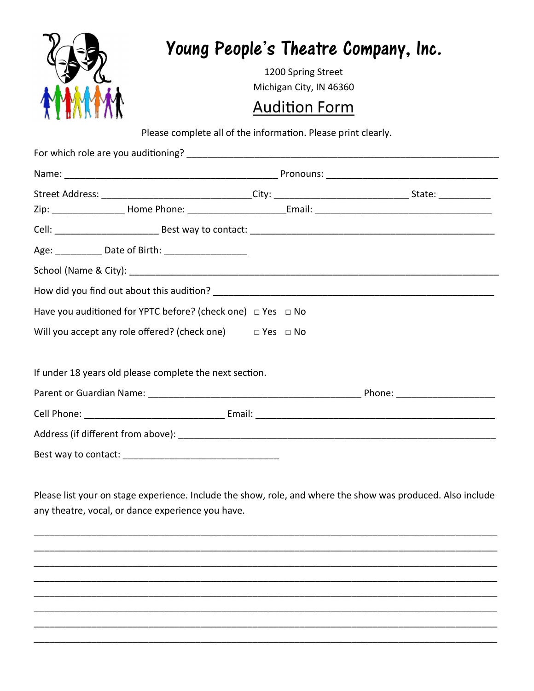| 95                      |  |
|-------------------------|--|
| M<br>Y,<br>ľ<br>ľ<br>Ç, |  |

# Young People's Theatre Company, Inc.

1200 Spring Street Michigan City, IN 46360

### **Audition Form**

Please complete all of the information. Please print clearly.

| Age: _____________ Date of Birth: ______________________           |  |  |  |  |
|--------------------------------------------------------------------|--|--|--|--|
|                                                                    |  |  |  |  |
|                                                                    |  |  |  |  |
| Have you auditioned for YPTC before? (check one) □ Yes □ No        |  |  |  |  |
| Will you accept any role offered? (check one) $\Box$ Yes $\Box$ No |  |  |  |  |
| If under 18 years old please complete the next section.            |  |  |  |  |
|                                                                    |  |  |  |  |
|                                                                    |  |  |  |  |
|                                                                    |  |  |  |  |
|                                                                    |  |  |  |  |

Please list your on stage experience. Include the show, role, and where the show was produced. Also include any theatre, vocal, or dance experience you have.